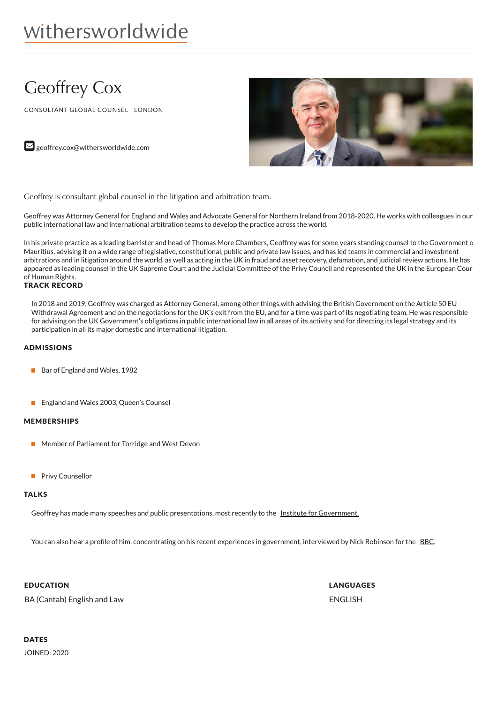# Geoffrey Cox

CONSULTANT GLOBAL COUNSEL | LONDON

S [geoffrey.cox@withersworldwide.com](mailto:geoffrey.cox@withersworldwide.com?subject=Website Enquiry - Profile Page)



Geoffrey is consultant global counsel in the litigation and arbitration team.

Geoffrey was Attorney General for England and Wales and Advocate General for Northern Ireland from 2018-2020. He works with colleagues in our public international law and international arbitration teams to develop the practice across the world.

In his private practice as a leading barrister and head of Thomas More Chambers, Geoffrey was for some years standing counsel to the Government o Mauritius, advising it on a wide range of legislative, constitutional, public and private law issues, and has led teams in commercial and investment arbitrations and in litigation around the world, as well as acting in the UK in fraud and asset recovery, defamation, and judicial review actions. He has appeared as leading counsel in the UK Supreme Court and the Judicial Committee of the Privy Council and represented the UK in the European Court of Human Rights.

## TRACK RECORD

In 2018 and 2019, Geoffrey was charged as Attorney General, among other things,with advising the British Government on the Article 50 EU Withdrawal Agreement and on the negotiations for the UK's exit from the EU, and for a time was part of its negotiating team. He was responsible for advising on the UK Government's obligations in public international law in all areas of its activity and for directing its legal strategy and its participation in all its major domestic and international litigation.

### ADMISSIONS

- Bar of England and Wales, 1982
- England and Wales 2003, Queen's Counsel

#### MEMBERSHIPS

- Member of Parliament for Torridge and West Devon
- **Privy Counsellor**

#### **TALKS**

Geoffrey has made many speeches and public presentations, most recently to the Institute for [Government.](https://www.instituteforgovernment.org.uk/events/geoffrey-cox)

You can also hear a profile of him, concentrating on his recent experiences in government, interviewed by Nick Robinson for the [BBC](https://www.bbc.co.uk/programmes/p075k2tj).

EDUCATION

BA (Cantab) English and Law

LANGUAGES ENGLISH

**DATES** JOINED: 2020